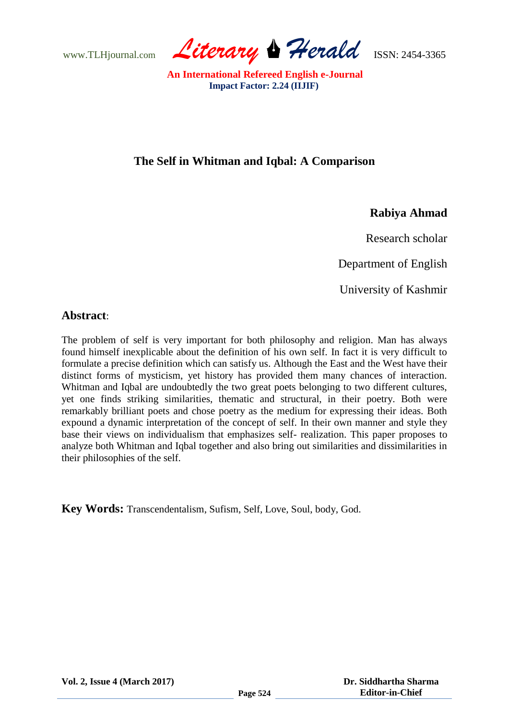www.TLHjournal.com *Literary Herald*ISSN: 2454-3365

## **The Self in Whitman and Iqbal: A Comparison**

## **Rabiya Ahmad**

Research scholar

Department of English

University of Kashmir

#### **Abstract**:

The problem of self is very important for both philosophy and religion. Man has always found himself inexplicable about the definition of his own self. In fact it is very difficult to formulate a precise definition which can satisfy us. Although the East and the West have their distinct forms of mysticism, yet history has provided them many chances of interaction. Whitman and Iqbal are undoubtedly the two great poets belonging to two different cultures, yet one finds striking similarities, thematic and structural, in their poetry. Both were remarkably brilliant poets and chose poetry as the medium for expressing their ideas. Both expound a dynamic interpretation of the concept of self. In their own manner and style they base their views on individualism that emphasizes self- realization. This paper proposes to analyze both Whitman and Iqbal together and also bring out similarities and dissimilarities in their philosophies of the self.

**Key Words:** Transcendentalism, Sufism, Self, Love, Soul, body, God.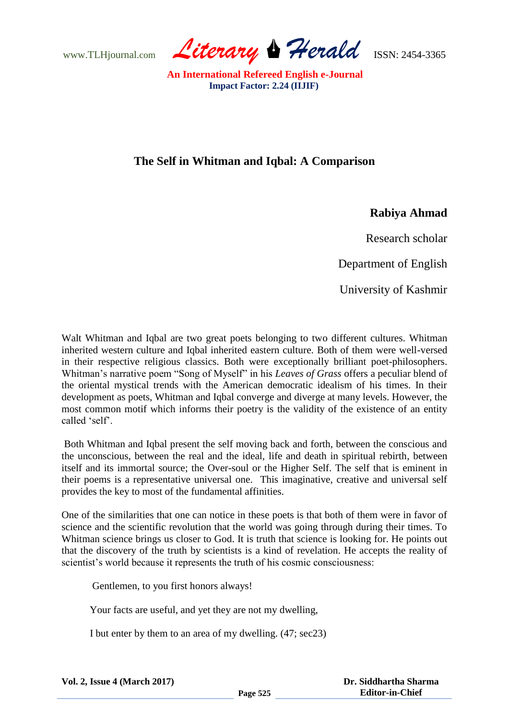www.TLHjournal.com *Literary Herald*ISSN: 2454-3365

# **The Self in Whitman and Iqbal: A Comparison**

## **Rabiya Ahmad**

Research scholar

Department of English

University of Kashmir

Walt Whitman and Iqbal are two great poets belonging to two different cultures. Whitman inherited western culture and Iqbal inherited eastern culture. Both of them were well-versed in their respective religious classics. Both were exceptionally brilliant poet-philosophers. Whitman"s narrative poem "Song of Myself" in his *Leaves of Grass* offers a peculiar blend of the oriental mystical trends with the American democratic idealism of his times. In their development as poets, Whitman and Iqbal converge and diverge at many levels. However, the most common motif which informs their poetry is the validity of the existence of an entity called "self".

Both Whitman and Iqbal present the self moving back and forth, between the conscious and the unconscious, between the real and the ideal, life and death in spiritual rebirth, between itself and its immortal source; the Over-soul or the Higher Self. The self that is eminent in their poems is a representative universal one. This imaginative, creative and universal self provides the key to most of the fundamental affinities.

One of the similarities that one can notice in these poets is that both of them were in favor of science and the scientific revolution that the world was going through during their times. To Whitman science brings us closer to God. It is truth that science is looking for. He points out that the discovery of the truth by scientists is a kind of revelation. He accepts the reality of scientist's world because it represents the truth of his cosmic consciousness:

Gentlemen, to you first honors always!

Your facts are useful, and yet they are not my dwelling,

I but enter by them to an area of my dwelling. (47; sec23)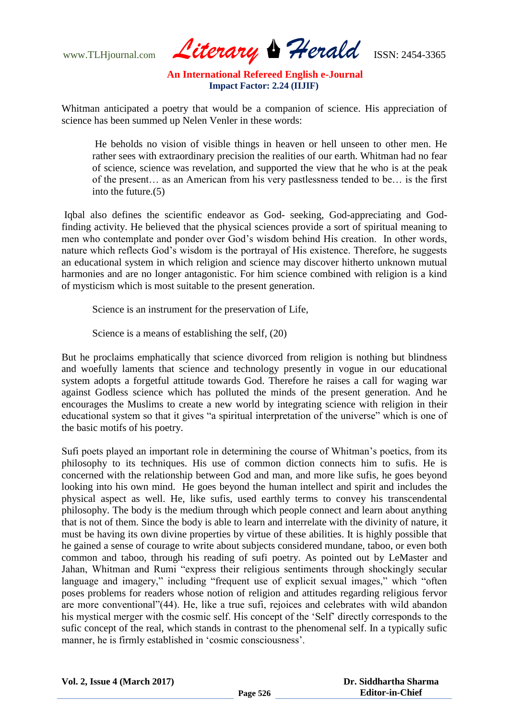www.TLHjournal.com *Literary Herald*ISSN: 2454-3365

Whitman anticipated a poetry that would be a companion of science. His appreciation of science has been summed up Nelen Venler in these words:

He beholds no vision of visible things in heaven or hell unseen to other men. He rather sees with extraordinary precision the realities of our earth. Whitman had no fear of science, science was revelation, and supported the view that he who is at the peak of the present… as an American from his very pastlessness tended to be… is the first into the future.(5)

Iqbal also defines the scientific endeavor as God- seeking, God-appreciating and Godfinding activity. He believed that the physical sciences provide a sort of spiritual meaning to men who contemplate and ponder over God"s wisdom behind His creation. In other words, nature which reflects God's wisdom is the portrayal of His existence. Therefore, he suggests an educational system in which religion and science may discover hitherto unknown mutual harmonies and are no longer antagonistic. For him science combined with religion is a kind of mysticism which is most suitable to the present generation.

Science is an instrument for the preservation of Life,

Science is a means of establishing the self, (20)

But he proclaims emphatically that science divorced from religion is nothing but blindness and woefully laments that science and technology presently in vogue in our educational system adopts a forgetful attitude towards God. Therefore he raises a call for waging war against Godless science which has polluted the minds of the present generation. And he encourages the Muslims to create a new world by integrating science with religion in their educational system so that it gives "a spiritual interpretation of the universe" which is one of the basic motifs of his poetry.

Sufi poets played an important role in determining the course of Whitman"s poetics, from its philosophy to its techniques. His use of common diction connects him to sufis. He is concerned with the relationship between God and man, and more like sufis, he goes beyond looking into his own mind. He goes beyond the human intellect and spirit and includes the physical aspect as well. He, like sufis, used earthly terms to convey his transcendental philosophy. The body is the medium through which people connect and learn about anything that is not of them. Since the body is able to learn and interrelate with the divinity of nature, it must be having its own divine properties by virtue of these abilities. It is highly possible that he gained a sense of courage to write about subjects considered mundane, taboo, or even both common and taboo, through his reading of sufi poetry. As pointed out by LeMaster and Jahan, Whitman and Rumi "express their religious sentiments through shockingly secular language and imagery," including "frequent use of explicit sexual images," which "often poses problems for readers whose notion of religion and attitudes regarding religious fervor are more conventional"(44). He, like a true sufi, rejoices and celebrates with wild abandon his mystical merger with the cosmic self. His concept of the "Self" directly corresponds to the sufic concept of the real, which stands in contrast to the phenomenal self. In a typically sufic manner, he is firmly established in "cosmic consciousness".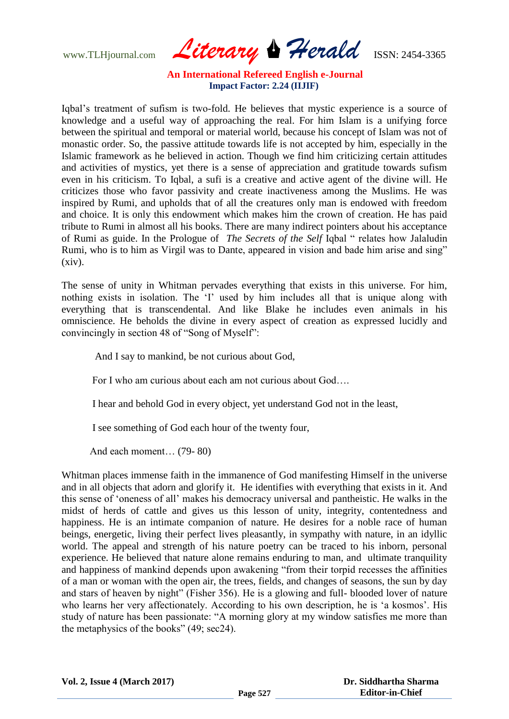www.TLHjournal.com *Literary Herald*ISSN: 2454-3365

Iqbal"s treatment of sufism is two-fold. He believes that mystic experience is a source of knowledge and a useful way of approaching the real. For him Islam is a unifying force between the spiritual and temporal or material world, because his concept of Islam was not of monastic order. So, the passive attitude towards life is not accepted by him, especially in the Islamic framework as he believed in action. Though we find him criticizing certain attitudes and activities of mystics, yet there is a sense of appreciation and gratitude towards sufism even in his criticism. To Iqbal, a sufi is a creative and active agent of the divine will. He criticizes those who favor passivity and create inactiveness among the Muslims. He was inspired by Rumi, and upholds that of all the creatures only man is endowed with freedom and choice. It is only this endowment which makes him the crown of creation. He has paid tribute to Rumi in almost all his books. There are many indirect pointers about his acceptance of Rumi as guide. In the Prologue of *The Secrets of the Self* Iqbal " relates how Jalaludin Rumi, who is to him as Virgil was to Dante, appeared in vision and bade him arise and sing" (xiv).

The sense of unity in Whitman pervades everything that exists in this universe. For him, nothing exists in isolation. The 'I' used by him includes all that is unique along with everything that is transcendental. And like Blake he includes even animals in his omniscience. He beholds the divine in every aspect of creation as expressed lucidly and convincingly in section 48 of "Song of Myself":

And I say to mankind, be not curious about God,

For I who am curious about each am not curious about God….

I hear and behold God in every object, yet understand God not in the least,

I see something of God each hour of the twenty four,

And each moment… (79- 80)

Whitman places immense faith in the immanence of God manifesting Himself in the universe and in all objects that adorn and glorify it. He identifies with everything that exists in it. And this sense of "oneness of all" makes his democracy universal and pantheistic. He walks in the midst of herds of cattle and gives us this lesson of unity, integrity, contentedness and happiness. He is an intimate companion of nature. He desires for a noble race of human beings, energetic, living their perfect lives pleasantly, in sympathy with nature, in an idyllic world. The appeal and strength of his nature poetry can be traced to his inborn, personal experience. He believed that nature alone remains enduring to man, and ultimate tranquility and happiness of mankind depends upon awakening "from their torpid recesses the affinities of a man or woman with the open air, the trees, fields, and changes of seasons, the sun by day and stars of heaven by night" (Fisher 356). He is a glowing and full- blooded lover of nature who learns her very affectionately. According to his own description, he is 'a kosmos'. His study of nature has been passionate: "A morning glory at my window satisfies me more than the metaphysics of the books" (49; sec24).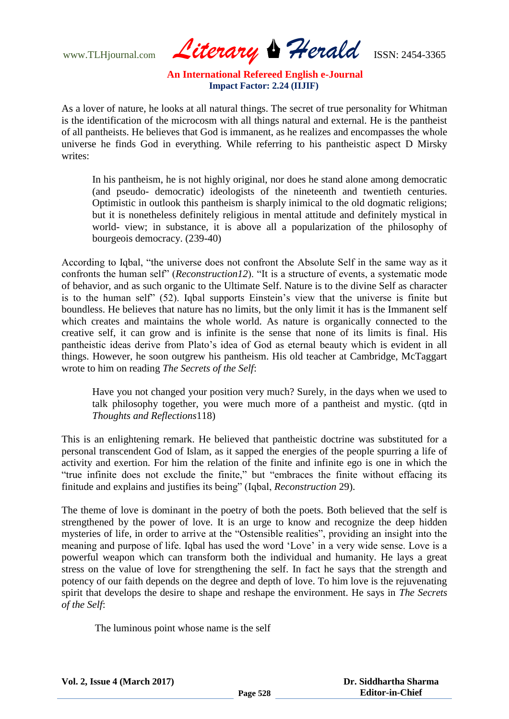www.TLHjournal.com *Literary Herald*ISSN: 2454-3365

As a lover of nature, he looks at all natural things. The secret of true personality for Whitman is the identification of the microcosm with all things natural and external. He is the pantheist of all pantheists. He believes that God is immanent, as he realizes and encompasses the whole universe he finds God in everything. While referring to his pantheistic aspect D Mirsky writes:

In his pantheism, he is not highly original, nor does he stand alone among democratic (and pseudo- democratic) ideologists of the nineteenth and twentieth centuries. Optimistic in outlook this pantheism is sharply inimical to the old dogmatic religions; but it is nonetheless definitely religious in mental attitude and definitely mystical in world- view; in substance, it is above all a popularization of the philosophy of bourgeois democracy. (239-40)

According to Iqbal, "the universe does not confront the Absolute Self in the same way as it confronts the human self" (*Reconstruction12*). "It is a structure of events, a systematic mode of behavior, and as such organic to the Ultimate Self. Nature is to the divine Self as character is to the human self" (52). Iqbal supports Einstein"s view that the universe is finite but boundless. He believes that nature has no limits, but the only limit it has is the Immanent self which creates and maintains the whole world. As nature is organically connected to the creative self, it can grow and is infinite is the sense that none of its limits is final. His pantheistic ideas derive from Plato"s idea of God as eternal beauty which is evident in all things. However, he soon outgrew his pantheism. His old teacher at Cambridge, McTaggart wrote to him on reading *The Secrets of the Self*:

Have you not changed your position very much? Surely, in the days when we used to talk philosophy together, you were much more of a pantheist and mystic. (qtd in *Thoughts and Reflections*118)

This is an enlightening remark. He believed that pantheistic doctrine was substituted for a personal transcendent God of Islam, as it sapped the energies of the people spurring a life of activity and exertion. For him the relation of the finite and infinite ego is one in which the "true infinite does not exclude the finite," but "embraces the finite without effacing its finitude and explains and justifies its being" (Iqbal, *Reconstruction* 29).

The theme of love is dominant in the poetry of both the poets. Both believed that the self is strengthened by the power of love. It is an urge to know and recognize the deep hidden mysteries of life, in order to arrive at the "Ostensible realities", providing an insight into the meaning and purpose of life. Iqbal has used the word "Love" in a very wide sense. Love is a powerful weapon which can transform both the individual and humanity. He lays a great stress on the value of love for strengthening the self. In fact he says that the strength and potency of our faith depends on the degree and depth of love. To him love is the rejuvenating spirit that develops the desire to shape and reshape the environment. He says in *The Secrets of the Self*:

The luminous point whose name is the self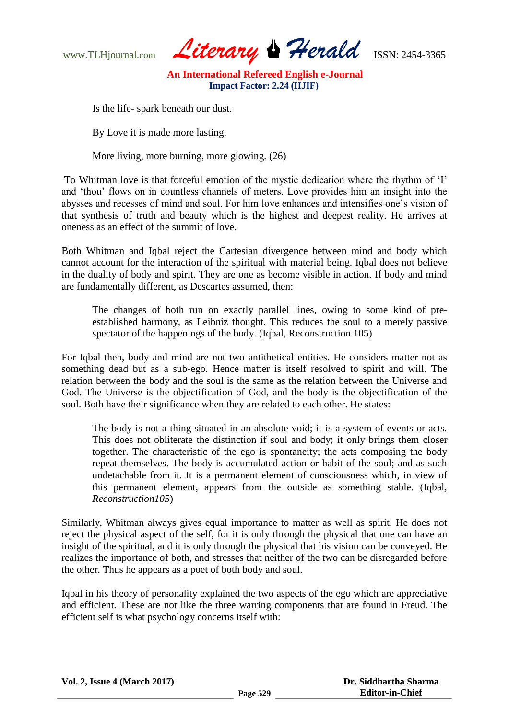www.TLHjournal.com *Literary Herald*ISSN: 2454-3365

Is the life- spark beneath our dust.

By Love it is made more lasting,

More living, more burning, more glowing. (26)

To Whitman love is that forceful emotion of the mystic dedication where the rhythm of "I" and "thou" flows on in countless channels of meters. Love provides him an insight into the abysses and recesses of mind and soul. For him love enhances and intensifies one"s vision of that synthesis of truth and beauty which is the highest and deepest reality. He arrives at oneness as an effect of the summit of love.

Both Whitman and Iqbal reject the Cartesian divergence between mind and body which cannot account for the interaction of the spiritual with material being. Iqbal does not believe in the duality of body and spirit. They are one as become visible in action. If body and mind are fundamentally different, as Descartes assumed, then:

The changes of both run on exactly parallel lines, owing to some kind of preestablished harmony, as Leibniz thought. This reduces the soul to a merely passive spectator of the happenings of the body. (Iqbal, Reconstruction 105)

For Iqbal then, body and mind are not two antithetical entities. He considers matter not as something dead but as a sub-ego. Hence matter is itself resolved to spirit and will. The relation between the body and the soul is the same as the relation between the Universe and God. The Universe is the objectification of God, and the body is the objectification of the soul. Both have their significance when they are related to each other. He states:

The body is not a thing situated in an absolute void; it is a system of events or acts. This does not obliterate the distinction if soul and body; it only brings them closer together. The characteristic of the ego is spontaneity; the acts composing the body repeat themselves. The body is accumulated action or habit of the soul; and as such undetachable from it. It is a permanent element of consciousness which, in view of this permanent element, appears from the outside as something stable. (Iqbal, *Reconstruction105*)

Similarly, Whitman always gives equal importance to matter as well as spirit. He does not reject the physical aspect of the self, for it is only through the physical that one can have an insight of the spiritual, and it is only through the physical that his vision can be conveyed. He realizes the importance of both, and stresses that neither of the two can be disregarded before the other. Thus he appears as a poet of both body and soul.

Iqbal in his theory of personality explained the two aspects of the ego which are appreciative and efficient. These are not like the three warring components that are found in Freud. The efficient self is what psychology concerns itself with: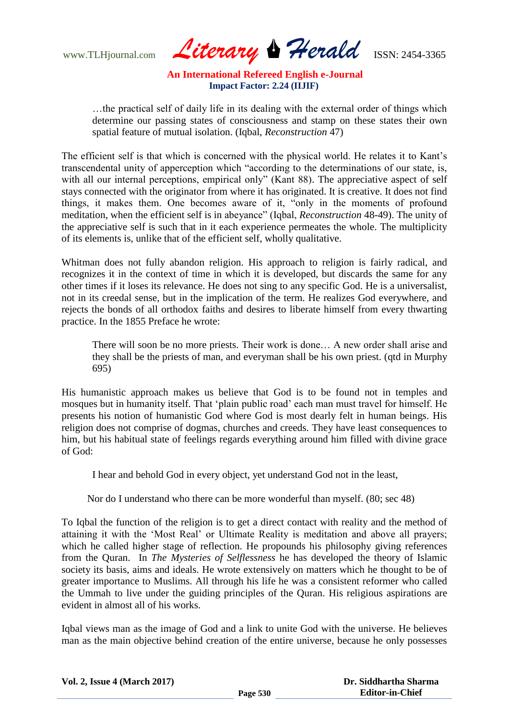www.TLHjournal.com *Literary Herald*ISSN: 2454-3365

…the practical self of daily life in its dealing with the external order of things which determine our passing states of consciousness and stamp on these states their own spatial feature of mutual isolation. (Iqbal, *Reconstruction* 47)

The efficient self is that which is concerned with the physical world. He relates it to Kant's transcendental unity of apperception which "according to the determinations of our state, is, with all our internal perceptions, empirical only" (Kant 88). The appreciative aspect of self stays connected with the originator from where it has originated. It is creative. It does not find things, it makes them. One becomes aware of it, "only in the moments of profound meditation, when the efficient self is in abeyance" (Iqbal, *Reconstruction* 48-49). The unity of the appreciative self is such that in it each experience permeates the whole. The multiplicity of its elements is, unlike that of the efficient self, wholly qualitative.

Whitman does not fully abandon religion. His approach to religion is fairly radical, and recognizes it in the context of time in which it is developed, but discards the same for any other times if it loses its relevance. He does not sing to any specific God. He is a universalist, not in its creedal sense, but in the implication of the term. He realizes God everywhere, and rejects the bonds of all orthodox faiths and desires to liberate himself from every thwarting practice. In the 1855 Preface he wrote:

There will soon be no more priests. Their work is done… A new order shall arise and they shall be the priests of man, and everyman shall be his own priest. (qtd in Murphy 695)

His humanistic approach makes us believe that God is to be found not in temples and mosques but in humanity itself. That "plain public road" each man must travel for himself. He presents his notion of humanistic God where God is most dearly felt in human beings. His religion does not comprise of dogmas, churches and creeds. They have least consequences to him, but his habitual state of feelings regards everything around him filled with divine grace of God:

I hear and behold God in every object, yet understand God not in the least,

Nor do I understand who there can be more wonderful than myself. (80; sec 48)

To Iqbal the function of the religion is to get a direct contact with reality and the method of attaining it with the "Most Real" or Ultimate Reality is meditation and above all prayers; which he called higher stage of reflection. He propounds his philosophy giving references from the Quran. In *The Mysteries of Selflessness* he has developed the theory of Islamic society its basis, aims and ideals. He wrote extensively on matters which he thought to be of greater importance to Muslims. All through his life he was a consistent reformer who called the Ummah to live under the guiding principles of the Quran. His religious aspirations are evident in almost all of his works.

Iqbal views man as the image of God and a link to unite God with the universe. He believes man as the main objective behind creation of the entire universe, because he only possesses